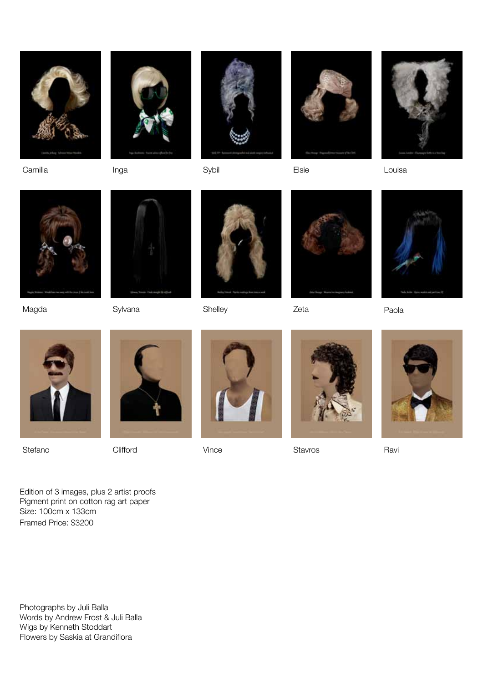

Camilla Inga Sybil Elsie Louisa









Magda





Sylvana Shelley Zeta Paola







Stefano Clifford Vince Stavros Ravi









Edition of 3 images, plus 2 artist proofs Pigment print on cotton rag art paper Size: 100cm x 133cm Framed Price: \$3200

Photographs by Juli Balla Words by Andrew Frost & Juli Balla Wigs by Kenneth Stoddart Flowers by Saskia at Grandiflora